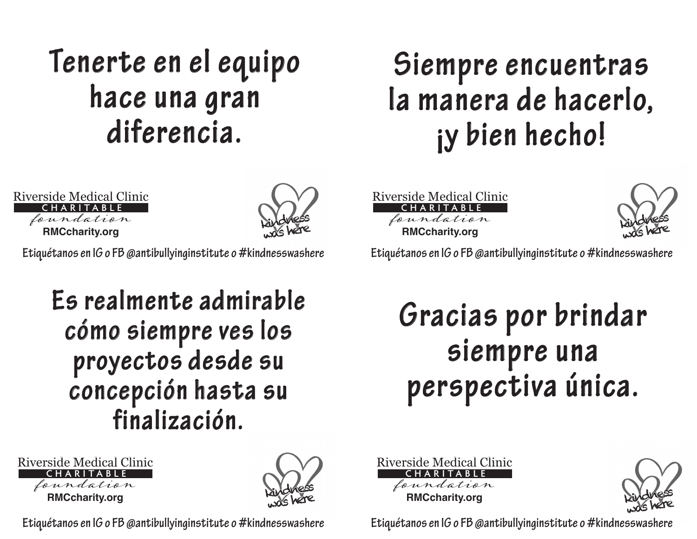#### **Tenerte en el equipo hace una gran diferencia.**

#### **RMCcharity.org** Riverside Medical Clinic foundation **CHARITABLE**



**Etiquétanos en IG o FB @antibullyinginstitute o #kindnesswashere Etiquétanos en IG o FB @antibullyinginstitute o #kindnesswashere**

#### **Es realmente admirable cómo siempre ves los proyectos desde su concepción hasta su finalización.**





#### **Siempre encuentras la manera de hacerlo, ¡y bien hecho!**

**RMCcharity.org** Riverside Medical Clinic foundation **CHARITABLE**



#### **Gracias por brindar siempre una perspectiva única.**



kindness was here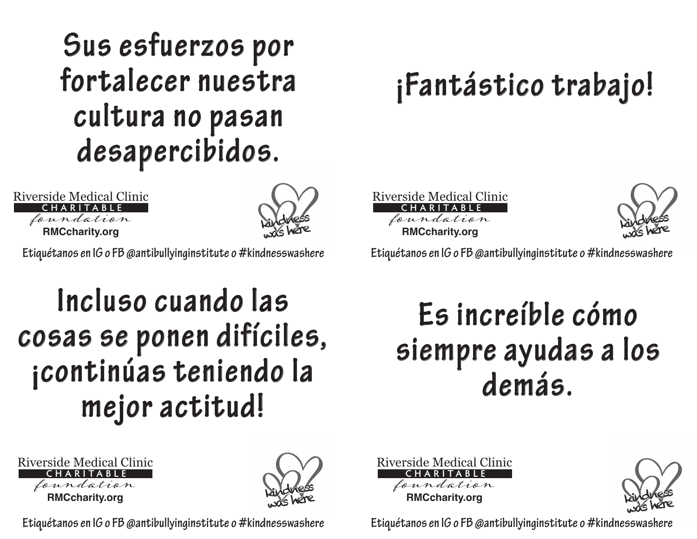#### **Sus esfuerzos por fortalecer nuestra cultura no pasan desapercibidos.**

**RMCcharity.org** Riverside Medical Clinic foundation **CHARITABLE**



**Etiquétanos en IG o FB @antibullyinginstitute o #kindnesswashere Etiquétanos en IG o FB @antibullyinginstitute o #kindnesswashere**

#### **Incluso cuando las cosas se ponen difíciles, ¡continúas teniendo la mejor actitud!**

| <b>Riverside Medical Clinic</b> |
|---------------------------------|
| CHARITABLE                      |
| foundation                      |
| <b>RMCcharity.org</b>           |



## **¡Fantástico trabajo!**

**RMCcharity.org** Riverside Medical Clinic foundation **CHARITABLE**



#### **Es increíble cómo siempre ayudas a los demás.**



kindness was here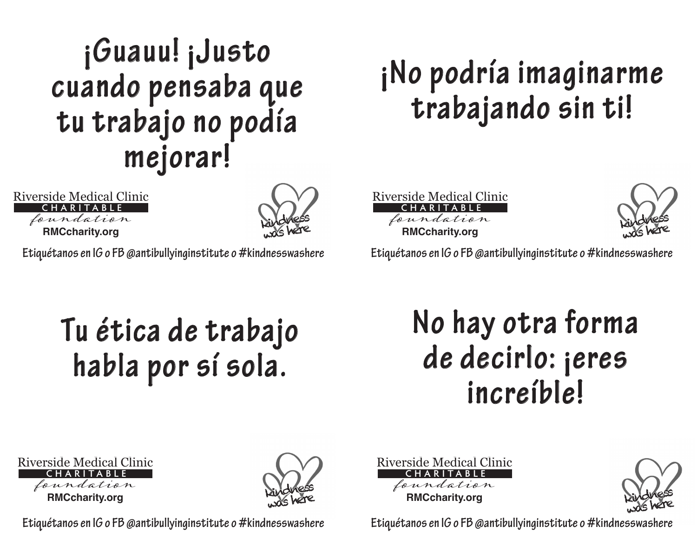#### **¡Guauu! ¡Justo cuando pensaba que tu trabajo no podía mejorar!**

**RMCcharity.org** Riverside Medical Clinic foundation **CHARITABLE**



**Etiquétanos en IG o FB @antibullyinginstitute o #kindnesswashere Etiquétanos en IG o FB @antibullyinginstitute o #kindnesswashere**

## **¡No podría imaginarme trabajando sin ti!**

**RMCcharity.org** Riverside Medical Clinic foundation **CHARITABLE**



#### **Tu ética de trabajo habla por sí sola.**

#### **No hay otra forma de decirlo: ¡eres increíble!**





**Etiquétanos en IG o FB @antibullyinginstitute o #kindnesswashere Etiquétanos en IG o FB @antibullyinginstitute o #kindnesswashere Etiquétanos en IG o FB @antibullyinginstitute o #kindnesswashere**

**RMCcharity.org** Riverside Medical Clinic foundation **CHARITABLE**

kindness was here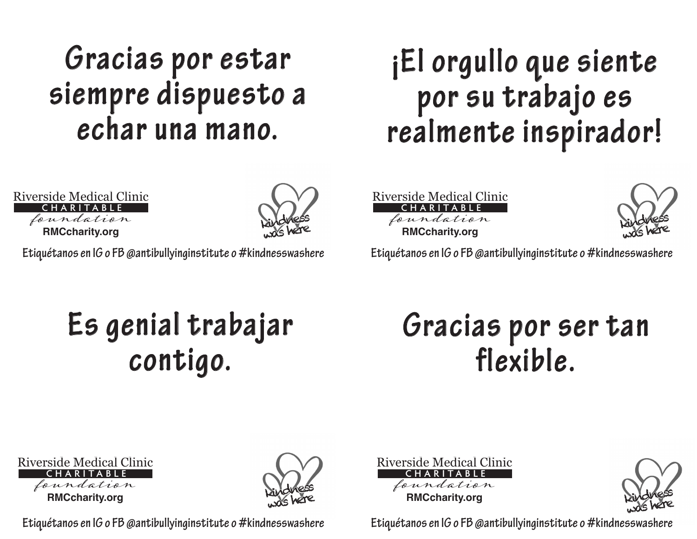#### **Gracias por estar siempre dispuesto a echar una mano.**

#### **¡El orgullo que siente por su trabajo es realmente inspirador!**

**RMCcharity.org** Riverside Medical Clinic foundation **CHARITABLE**



**Etiquétanos en IG o FB @antibullyinginstitute o #kindnesswashere Etiquétanos en IG o FB @antibullyinginstitute o #kindnesswashere**

**RMCcharity.org** Riverside Medical Clinic foundation **CHARITABLE**



#### **Es genial trabajar contigo.**

#### **Gracias por ser tan flexible.**

| <b>Riverside Medical Clinic</b> |
|---------------------------------|
| CHARITABLE                      |
| foundation                      |
| <b>RMCcharity.org</b>           |



**RMCcharity.org** Riverside Medical Clinic foundation **CHARITABLE**

kindness was here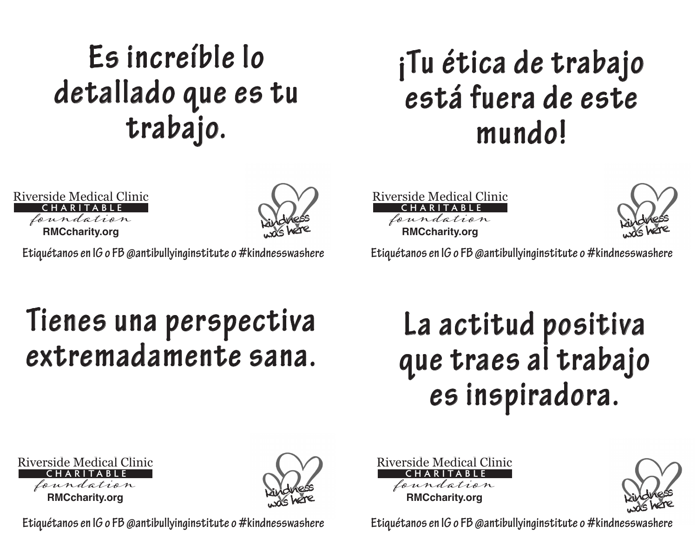### **Es increíble lo detallado que es tu trabajo.**

#### **¡Tu ética de trabajo está fuera de este mundo!**

**RMCcharity.org** Riverside Medical Clinic foundation **CHARITABLE**



**Etiquétanos en IG o FB @antibullyinginstitute o #kindnesswashere Etiquétanos en IG o FB @antibullyinginstitute o #kindnesswashere**

**RMCcharity.org** foundation

Riverside Medical Clinic

**CHARITABLE**

kindness

#### **Tienes una perspectiva extremadamente sana.**

#### **La actitud positiva que traes al trabajo es inspiradora.**

**RMCcharity.org** Riverside Medical Clinic foundation **CHARITABLE**



**RMCcharity.org** Riverside Medical Clinic foundation **CHARITABLE**

kindness was here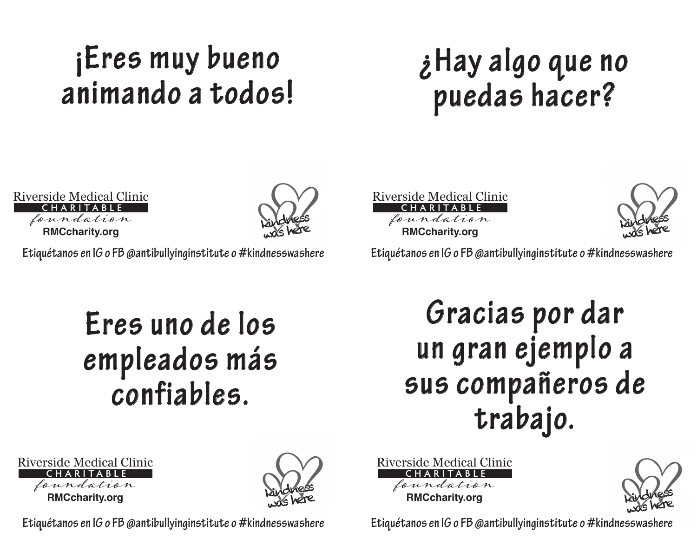## **¡Eres muy bueno animando a todos!**

#### **¿Hay algo que no puedas hacer?**

**RMCcharity.org** Riverside Medical Clinic foundation **CHARITABLE**



**Etiquétanos en IG o FB @antibullyinginstitute o #kindnesswashere Etiquétanos en IG o FB @antibullyinginstitute o #kindnesswashere**

## **Eres uno de los empleados más confiables.**

**RMCcharity.org** Riverside Medical Clinic foundation **CHARITABLE**



**Gracias por dar un gran ejemplo a sus compañeros de trabajo.**

**RMCcharity.org** Riverside Medical Clinic foundation **CHARITABLE**



**RMCcharity.org** Riverside Medical Clinic foundation **CHARITABLE**

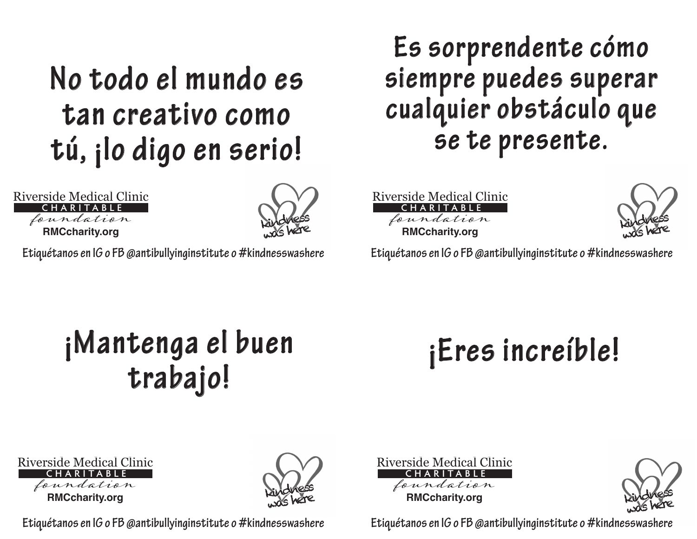#### **No todo el mundo es tan creativo como tú, ¡lo digo en serio!**

**RMCcharity.org** Riverside Medical Clinic foundation **CHARITABLE**



**Etiquétanos en IG o FB @antibullyinginstitute o #kindnesswashere Etiquétanos en IG o FB @antibullyinginstitute o #kindnesswashere**

**Es sorprendente cómo siempre puedes superar cualquier obstáculo que se te presente.**

**RMCcharity.org** Riverside Medical Clinic foundation **CHARITABLE**



#### **¡Mantenga el buen trabajo!**

## **¡Eres increíble!**

| Riverside Medical Clinic |
|--------------------------|
| CHARITABLE               |
| foundation               |
| <b>RMCcharity.org</b>    |



**RMCcharity.org** Riverside Medical Clinic foundation **CHARITABLE**

kindness was here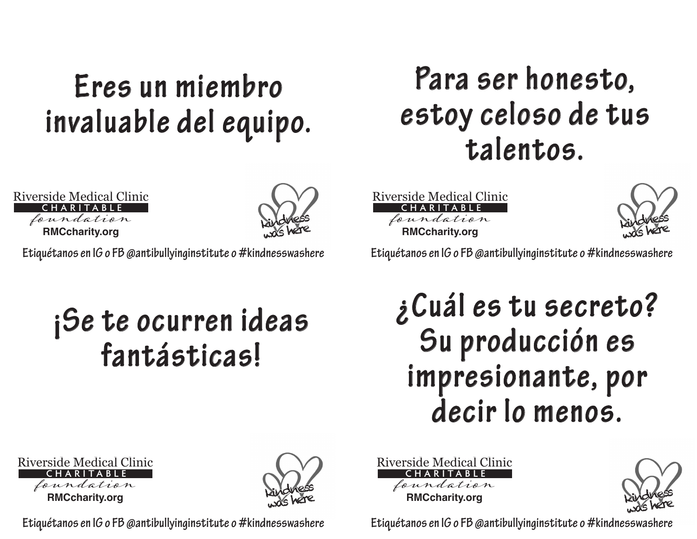#### **Eres un miembro invaluable del equipo.**

**RMCcharity.org** Riverside Medical Clinic foundation **CHARITABLE**



**Etiquétanos en IG o FB @antibullyinginstitute o #kindnesswashere Etiquétanos en IG o FB @antibullyinginstitute o #kindnesswashere**

#### **¡Se te ocurren ideas fantásticas!**

#### **Para ser honesto, estoy celoso de tus talentos.**

**RMCcharity.org** Riverside Medical Clinic foundation **CHARITABLE**



#### **¿Cuál es tu secreto? Su producción es impresionante, por decir lo menos.**

**RMCcharity.org** Riverside Medical Clinic foundation **CHARITABLE**



**RMCcharity.org** Riverside Medical Clinic foundation **CHARITABLE**

kindness was here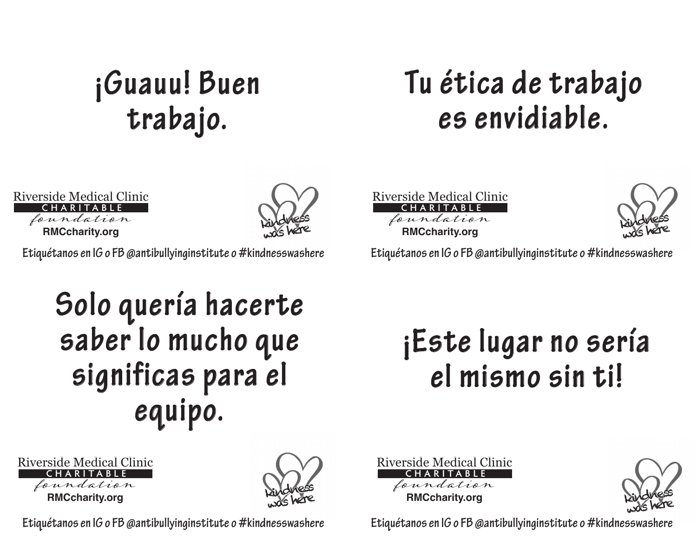## **¡Guauu! Buen trabajo.**

#### **Tu ética de trabajo es envidiable.**

**RMCcharity.org** Riverside Medical Clinic foundation **CHARITABLE**



**Etiquétanos en IG o FB @antibullyinginstitute o #kindnesswashere Etiquétanos en IG o FB @antibullyinginstitute o #kindnesswashere**

**Solo quería hacerte saber lo mucho que significas para el equipo.**





**RMCcharity.org** Riverside Medical Clinic foundation **CHARITABLE**

kindness

#### **¡Este lugar no sería el mismo sin ti!**

**RMCcharity.org** Riverside Medical Clinic foundation **CHARITABLE**

kindness was here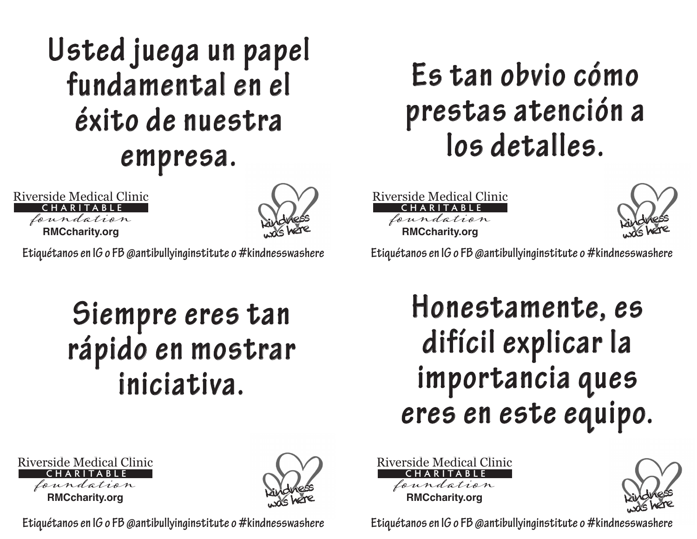#### **Usted juega un papel fundamental en el éxito de nuestra empresa.**

**RMCcharity.org** Riverside Medical Clinic foundation **CHARITABLE**



**Etiquétanos en IG o FB @antibullyinginstitute o #kindnesswashere Etiquétanos en IG o FB @antibullyinginstitute o #kindnesswashere**

#### **Siempre eres tan rápido en mostrar iniciativa.**

#### **Es tan obvio cómo prestas atención a los detalles.**

**RMCcharity.org** Riverside Medical Clinic foundation **CHARITABLE**



#### **Honestamente, es difícil explicar la importancia ques eres en este equipo.**

**RMCcharity.org** Riverside Medical Clinic foundation **CHARITABLE**



**RMCcharity.org** Riverside Medical Clinic foundation **CHARITABLE**

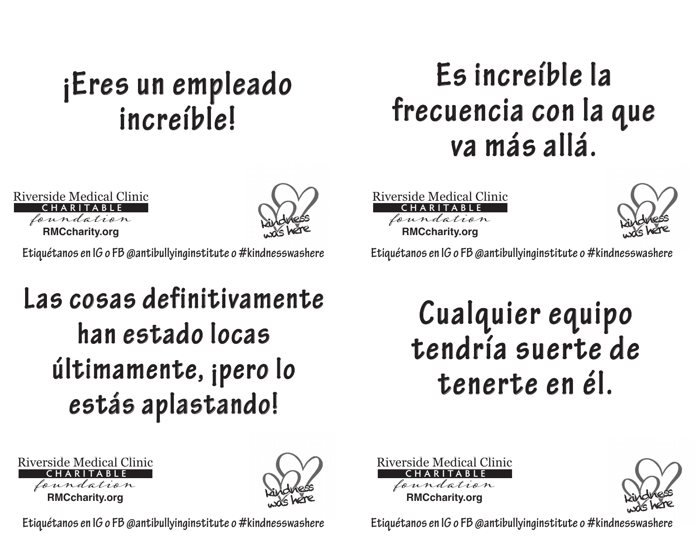#### **¡Eres un empleado increíble!**

#### **Es increíble la frecuencia con la que va más allá.**

**RMCcharity.org** Riverside Medical Clinic foundation **CHARITABLE**



**Etiquétanos en IG o FB @antibullyinginstitute o #kindnesswashere Etiquétanos en IG o FB @antibullyinginstitute o #kindnesswashere**

#### **Las cosas definitivamente han estado locas últimamente, ¡pero lo estás aplastando!**





**Etiquétanos en IG o FB @antibullyinginstitute o #kindnesswashere Etiquétanos en IG o FB @antibullyinginstitute o #kindnesswashere Etiquétanos en IG o FB @antibullyinginstitute o #kindnesswashere**

**RMCcharity.org** Riverside Medical Clinic foundation **CHARITABLE**



#### **Cualquier equipo tendría suerte de tenerte en él.**



kindness was here